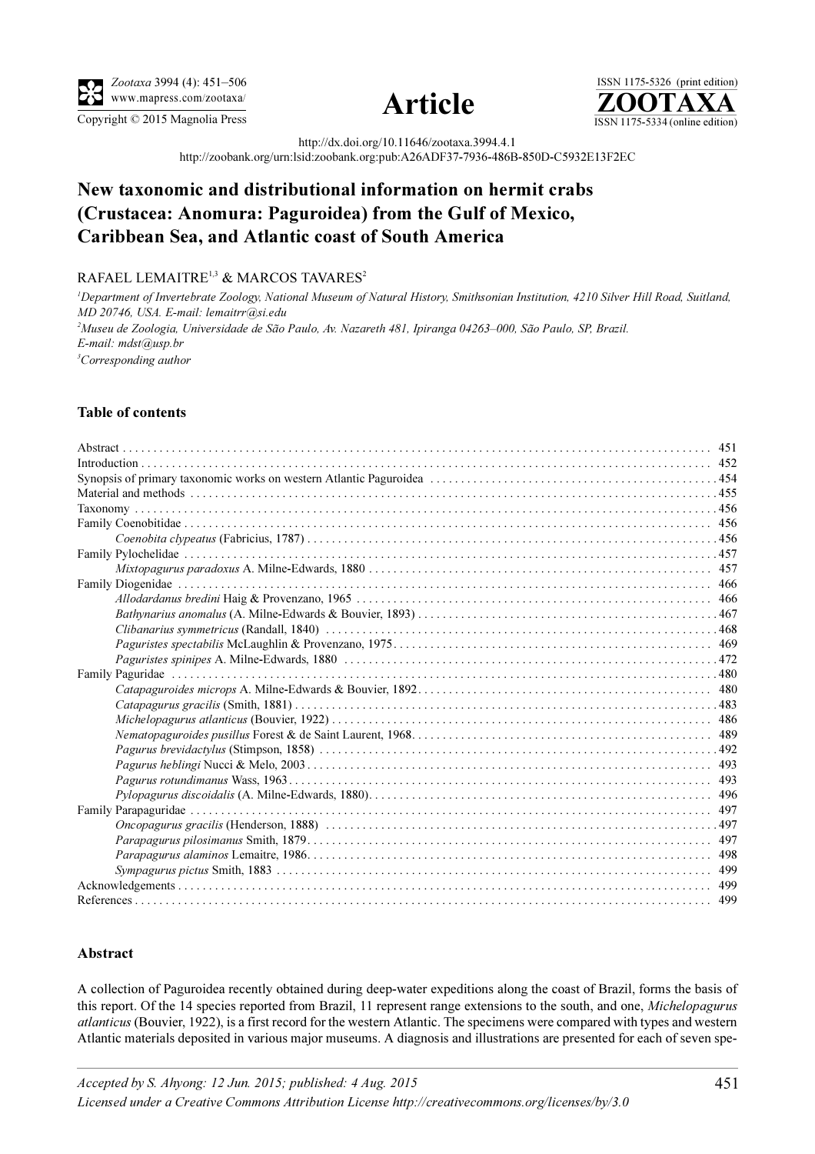

Zootaxa 3994 (4): 451–506 www.mapress.com/zootaxa/





http://dx.doi.org/10.11646/zootaxa.3994.4.1

http://zoobank.org/urn:lsid:zoobank.org:pub:A26ADF37-7936-486B-850D-C5932E13F2EC

# New taxonomic and distributional information on hermit crabs (Crustacea: Anomura: Paguroidea) from the Gulf of Mexico, Caribbean Sea, and Atlantic coast of South America

## RAFAEL LEMAITRE<sup>1,3</sup> & MARCOS TAVARES<sup>2</sup>

<sup>1</sup>Department of Invertebrate Zoology, National Museum of Natural History, Smithsonian Institution, 4210 Silver Hill Road, Suitland, MD 20746, USA. E-mail: lemaitrr@si.edu 2 Museu de Zoologia, Universidade de São Paulo, Av. Nazareth 481, Ipiranga 04263–000, São Paulo, SP, Brazil. E-mail: mdst@usp.br <sup>3</sup>Corresponding author

## Table of contents

### <span id="page-0-0"></span>Abstract

A collection of Paguroidea recently obtained during deep-water expeditions along the coast of Brazil, forms the basis of this report. Of the 14 species reported from Brazil, 11 represent range extensions to the south, and one, *Michelopagurus* atlanticus (Bouvier, 1922), is a first record for the western Atlantic. The specimens were compared with types and western Atlantic materials deposited in various major museums. A diagnosis and illustrations are presented for each of seven spe